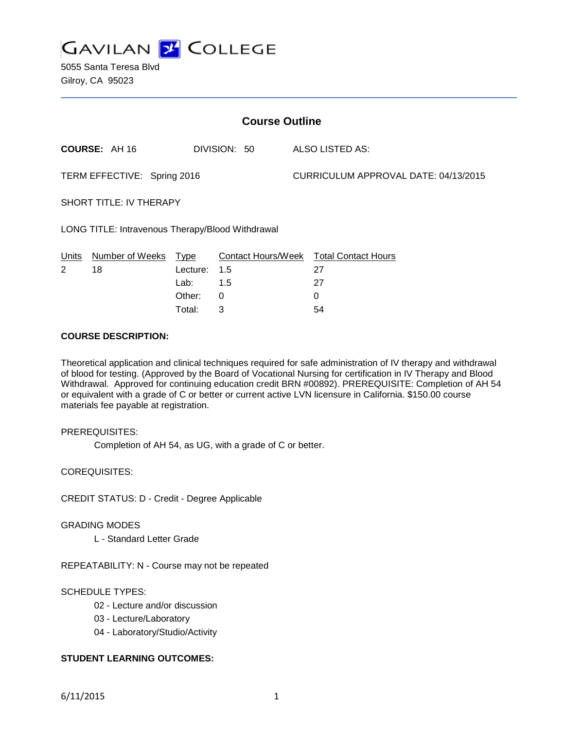

5055 Santa Teresa Blvd Gilroy, CA 95023

| <b>Course Outline</b>                            |                      |          |              |                                      |                                        |
|--------------------------------------------------|----------------------|----------|--------------|--------------------------------------|----------------------------------------|
|                                                  | <b>COURSE: AH 16</b> |          | DIVISION: 50 |                                      | ALSO LISTED AS:                        |
| TERM EFFECTIVE: Spring 2016                      |                      |          |              | CURRICULUM APPROVAL DATE: 04/13/2015 |                                        |
| <b>SHORT TITLE: IV THERAPY</b>                   |                      |          |              |                                      |                                        |
| LONG TITLE: Intravenous Therapy/Blood Withdrawal |                      |          |              |                                      |                                        |
| Units                                            | Number of Weeks      | Type     |              |                                      | Contact Hours/Week Total Contact Hours |
| 2                                                | 18                   | Lecture: | 1.5          |                                      | 27                                     |
|                                                  |                      | Lab:     | 1.5          |                                      | 27                                     |
|                                                  |                      | Other:   | $\Omega$     |                                      | 0                                      |
|                                                  |                      | Total:   | 3            |                                      | 54                                     |

#### **COURSE DESCRIPTION:**

Theoretical application and clinical techniques required for safe administration of IV therapy and withdrawal of blood for testing. (Approved by the Board of Vocational Nursing for certification in IV Therapy and Blood Withdrawal. Approved for continuing education credit BRN #00892). PREREQUISITE: Completion of AH 54 or equivalent with a grade of C or better or current active LVN licensure in California. \$150.00 course materials fee payable at registration.

#### PREREQUISITES:

Completion of AH 54, as UG, with a grade of C or better.

COREQUISITES:

CREDIT STATUS: D - Credit - Degree Applicable

#### GRADING MODES

L - Standard Letter Grade

REPEATABILITY: N - Course may not be repeated

## SCHEDULE TYPES:

- 02 Lecture and/or discussion
- 03 Lecture/Laboratory
- 04 Laboratory/Studio/Activity

# **STUDENT LEARNING OUTCOMES:**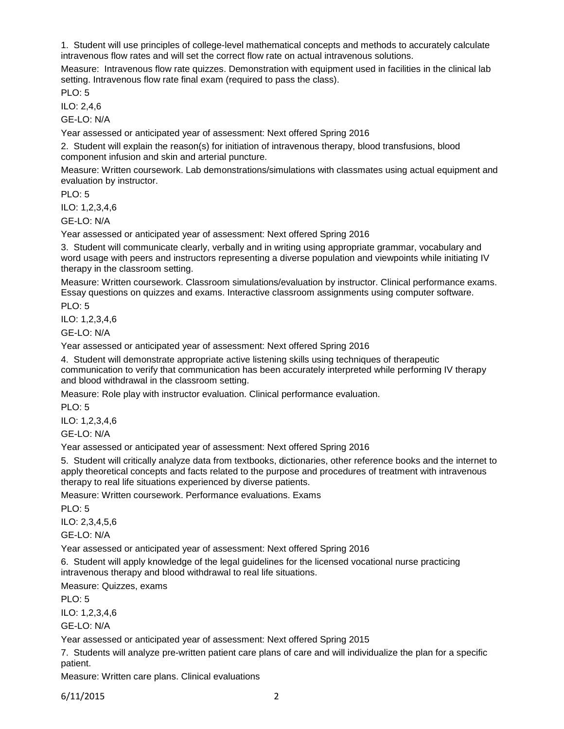1. Student will use principles of college-level mathematical concepts and methods to accurately calculate intravenous flow rates and will set the correct flow rate on actual intravenous solutions.

Measure: Intravenous flow rate quizzes. Demonstration with equipment used in facilities in the clinical lab setting. Intravenous flow rate final exam (required to pass the class).

PLO: 5

ILO: 2,4,6

GE-LO: N/A

Year assessed or anticipated year of assessment: Next offered Spring 2016

2. Student will explain the reason(s) for initiation of intravenous therapy, blood transfusions, blood component infusion and skin and arterial puncture.

Measure: Written coursework. Lab demonstrations/simulations with classmates using actual equipment and evaluation by instructor.

PLO: 5

ILO: 1,2,3,4,6

GE-LO: N/A

Year assessed or anticipated year of assessment: Next offered Spring 2016

3. Student will communicate clearly, verbally and in writing using appropriate grammar, vocabulary and word usage with peers and instructors representing a diverse population and viewpoints while initiating IV therapy in the classroom setting.

Measure: Written coursework. Classroom simulations/evaluation by instructor. Clinical performance exams. Essay questions on quizzes and exams. Interactive classroom assignments using computer software.

PLO: 5

ILO: 1,2,3,4,6

GE-LO: N/A

Year assessed or anticipated year of assessment: Next offered Spring 2016

4. Student will demonstrate appropriate active listening skills using techniques of therapeutic communication to verify that communication has been accurately interpreted while performing IV therapy and blood withdrawal in the classroom setting.

Measure: Role play with instructor evaluation. Clinical performance evaluation.

PLO: 5 ILO: 1,2,3,4,6

GE-LO: N/A

Year assessed or anticipated year of assessment: Next offered Spring 2016

5. Student will critically analyze data from textbooks, dictionaries, other reference books and the internet to apply theoretical concepts and facts related to the purpose and procedures of treatment with intravenous therapy to real life situations experienced by diverse patients.

Measure: Written coursework. Performance evaluations. Exams

 $PLO: 5$ 

ILO: 2,3,4,5,6

GE-LO: N/A

Year assessed or anticipated year of assessment: Next offered Spring 2016

6. Student will apply knowledge of the legal guidelines for the licensed vocational nurse practicing intravenous therapy and blood withdrawal to real life situations.

Measure: Quizzes, exams

PLO: 5

ILO: 1,2,3,4,6

 $GF-I O: N/A$ 

Year assessed or anticipated year of assessment: Next offered Spring 2015

7. Students will analyze pre-written patient care plans of care and will individualize the plan for a specific patient.

Measure: Written care plans. Clinical evaluations

6/11/2015 2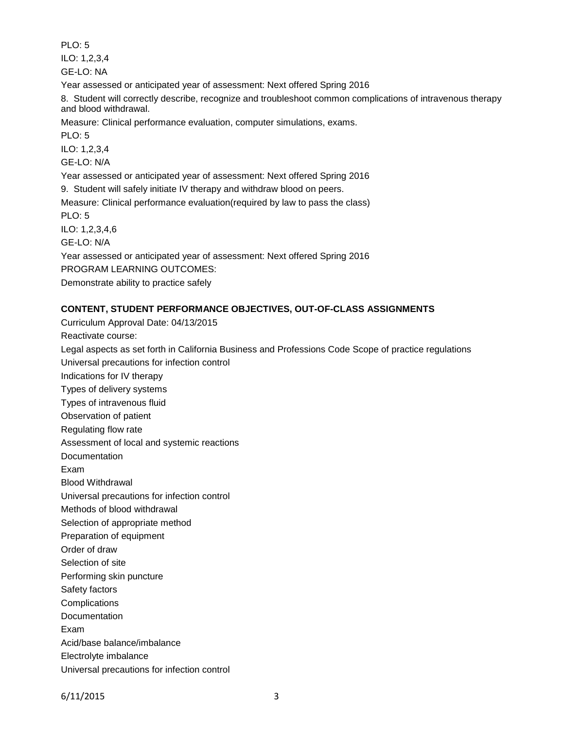PLO: 5

ILO: 1,2,3,4 GE-LO: NA

Year assessed or anticipated year of assessment: Next offered Spring 2016

8. Student will correctly describe, recognize and troubleshoot common complications of intravenous therapy and blood withdrawal.

Measure: Clinical performance evaluation, computer simulations, exams.

PLO: 5

ILO: 1,2,3,4

GE-LO: N/A

Year assessed or anticipated year of assessment: Next offered Spring 2016

9. Student will safely initiate IV therapy and withdraw blood on peers.

Measure: Clinical performance evaluation(required by law to pass the class) PLO: 5

ILO: 1,2,3,4,6

GE-LO: N/A

Year assessed or anticipated year of assessment: Next offered Spring 2016

PROGRAM LEARNING OUTCOMES:

Demonstrate ability to practice safely

# **CONTENT, STUDENT PERFORMANCE OBJECTIVES, OUT-OF-CLASS ASSIGNMENTS**

Curriculum Approval Date: 04/13/2015

Reactivate course:

Legal aspects as set forth in California Business and Professions Code Scope of practice regulations Universal precautions for infection control

Indications for IV therapy Types of delivery systems Types of intravenous fluid

Observation of patient

Regulating flow rate

Assessment of local and systemic reactions

Documentation

Exam

Blood Withdrawal

Universal precautions for infection control

Methods of blood withdrawal

Selection of appropriate method

Preparation of equipment

Order of draw

Selection of site

Performing skin puncture

Safety factors

**Complications** 

**Documentation** 

Exam

Acid/base balance/imbalance

Electrolyte imbalance

Universal precautions for infection control

6/11/2015 3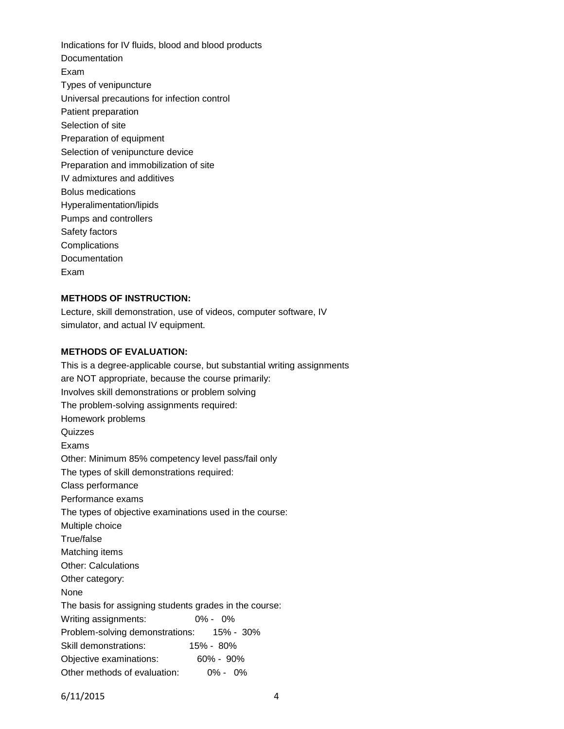Indications for IV fluids, blood and blood products **Documentation** Exam Types of venipuncture Universal precautions for infection control Patient preparation Selection of site Preparation of equipment Selection of venipuncture device Preparation and immobilization of site IV admixtures and additives Bolus medications Hyperalimentation/lipids Pumps and controllers Safety factors **Complications** Documentation Exam

## **METHODS OF INSTRUCTION:**

Lecture, skill demonstration, use of videos, computer software, IV simulator, and actual IV equipment.

# **METHODS OF EVALUATION:**

This is a degree-applicable course, but substantial writing assignments are NOT appropriate, because the course primarily: Involves skill demonstrations or problem solving The problem-solving assignments required: Homework problems **Quizzes** Exams Other: Minimum 85% competency level pass/fail only The types of skill demonstrations required: Class performance Performance exams The types of objective examinations used in the course: Multiple choice True/false Matching items Other: Calculations Other category: None The basis for assigning students grades in the course: Writing assignments: 0% - 0% Problem-solving demonstrations: 15% - 30% Skill demonstrations: 15% - 80% Objective examinations: 60% - 90% Other methods of evaluation: 0% - 0%

6/11/2015 4